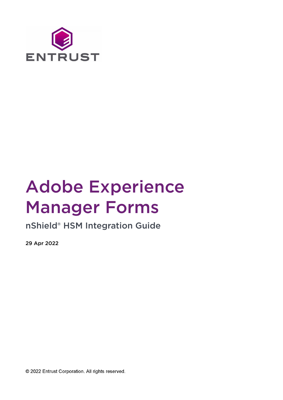

# Adobe Experience Manager Forms

nShield® HSM Integration Guide

29 Apr 2022

© 2022 Entrust Corporation. All rights reserved.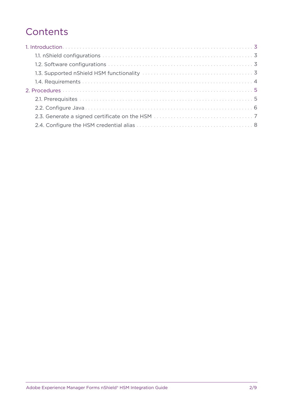## **Contents**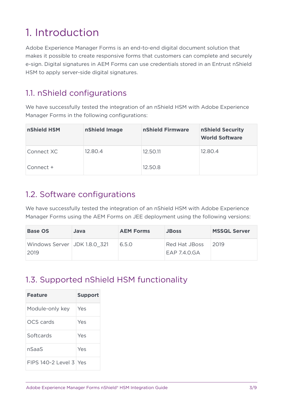# <span id="page-2-0"></span>1. Introduction

Adobe Experience Manager Forms is an end-to-end digital document solution that makes it possible to create responsive forms that customers can complete and securely e-sign. Digital signatures in AEM Forms can use credentials stored in an Entrust nShield HSM to apply server-side digital signatures.

## <span id="page-2-1"></span>1.1. nShield configurations

We have successfully tested the integration of an nShield HSM with Adobe Experience Manager Forms in the following configurations:

| nShield HSM | nShield Image | nShield Firmware | nShield Security<br><b>World Software</b> |
|-------------|---------------|------------------|-------------------------------------------|
| Connect XC  | 12.80.4       | 12.50.11         | 12.80.4                                   |
| Connect +   |               | 12.50.8          |                                           |

#### <span id="page-2-2"></span>1.2. Software configurations

We have successfully tested the integration of an nShield HSM with Adobe Experience Manager Forms using the AEM Forms on JEE deployment using the following versions:

| <b>Base OS</b>                       | Java | <b>AEM Forms</b> | <b>JBoss</b>              | <b>MSSQL Server</b> |
|--------------------------------------|------|------------------|---------------------------|---------------------|
| Windows Server JDK 1.8.0 321<br>2019 |      | 6.5.0            | Red Hat JBoss<br>FAP740GA | 2019                |

## <span id="page-2-3"></span>1.3. Supported nShield HSM functionality

| <b>Feature</b>           | <b>Support</b> |
|--------------------------|----------------|
| Module-only key          | Yes            |
| <b>OCS</b> cards         | Yes            |
| Softcards                | Yes            |
| nSaaS                    | Yes            |
| $FIPS 140-2$ Level 3 Yes |                |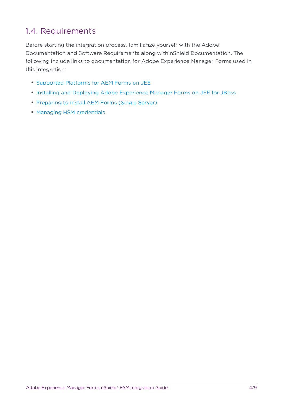### <span id="page-3-0"></span>1.4. Requirements

Before starting the integration process, familiarize yourself with the Adobe Documentation and Software Requirements along with nShield Documentation. The following include links to documentation for Adobe Experience Manager Forms used in this integration:

- [Supported Platforms for AEM Forms on JEE](https://experienceleague.adobe.com/docs/experience-manager-65/forms/install-aem-forms/jee-installation/aem-forms-jee-supported-platforms.html?lang=en)
- [Installing and Deploying Adobe Experience Manager Forms on JEE for JBoss](https://helpx.adobe.com/content/dam/help/en/experience-manager/6-5/forms/pdf/install-single-server-jboss.pdf)
- [Preparing to install AEM Forms \(Single Server\)](https://helpx.adobe.com/content/dam/help/en/experience-manager/6-5/forms/pdf/prepare-install-single-server.pdf)
- [Managing HSM credentials](https://experienceleague.adobe.com/docs/experience-manager-65/forms/administrator-help/manage-certificates-credentials/hsm-credentials.html?lang=en#)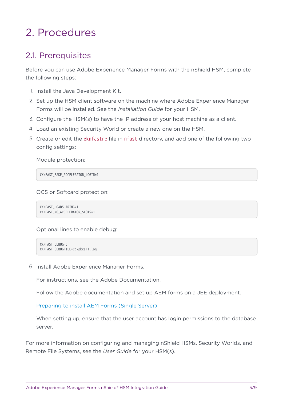# <span id="page-4-0"></span>2. Procedures

### <span id="page-4-1"></span>2.1. Prerequisites

Before you can use Adobe Experience Manager Forms with the nShield HSM, complete the following steps:

- 1. Install the Java Development Kit.
- 2. Set up the HSM client software on the machine where Adobe Experience Manager Forms will be installed. See the *Installation Guide* for your HSM.
- 3. Configure the HSM(s) to have the IP address of your host machine as a client.
- 4. Load an existing Security World or create a new one on the HSM.
- 5. Create or edit the cknfastrc file in nfast directory, and add one of the following two config settings:

Module protection:

CKNFAST\_FAKE\_ACCELERATOR\_LOGIN=1

OCS or Softcard protection:

CKNFAST\_LOADSHARING=1 CKNFAST\_NO\_ACCELERATOR\_SLOTS=1

Optional lines to enable debug:

```
CKNFAST_DEBUG=5
CKNFAST_DEBUGFILE=C:\pkcs11.log
```
6. Install Adobe Experience Manager Forms.

For instructions, see the Adobe Documentation.

Follow the Adobe documentation and set up AEM forms on a JEE deployment.

[Preparing to install AEM Forms \(Single Server\)](https://helpx.adobe.com/content/dam/help/en/experience-manager/6-5/forms/pdf/prepare-install-single-server.pdf)

When setting up, ensure that the user account has login permissions to the database server.

For more information on configuring and managing nShield HSMs, Security Worlds, and Remote File Systems, see the *User Guide* for your HSM(s).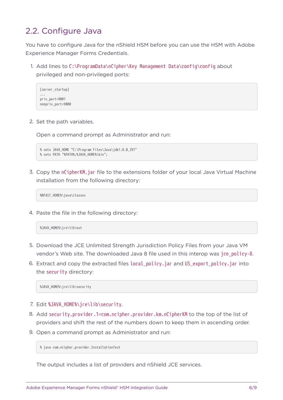#### <span id="page-5-0"></span>2.2. Configure Java

You have to configure Java for the nShield HSM before you can use the HSM with Adobe Experience Manager Forms Credentials.

1. Add lines to C:\ProgramData\nCipher\Key Management Data\config\config about privileged and non-privileged ports:

```
[server_startup]
...
priv_port=9001
nonpriv_port=9000
```
2. Set the path variables.

Open a command prompt as Administrator and run:

```
% setx JAVA_HOME "C:\Program Files\Java\jdk1.8.0_291"
% setx PATH "%PATH%;%JAVA_HOME%\bin";
```
3. Copy the nCipherKM.jar file to the extensions folder of your local Java Virtual Machine installation from the following directory:

%NFAST\_HOME%\java\classes

4. Paste the file in the following directory:

%JAVA\_HOME%\jre\lib\ext

- 5. Download the JCE Unlimited Strength Jurisdiction Policy Files from your Java VM vendor's Web site. The downloaded Java 8 file used in this interop was jce\_policy-8.
- 6. Extract and copy the extracted files local\_policy.jar and US\_export\_policy.jar into the security directory:

%JAVA\_HOME%\jre\lib\security

- 7. Edit %JAVA HOME%\jre\lib\security.
- 8. Add security.provider.1=com.ncipher.provider.km.nCipherKM to the top of the list of providers and shift the rest of the numbers down to keep them in ascending order.
- 9. Open a command prompt as Administrator and run:

% java com.ncipher.provider.InstallationTest

The output includes a list of providers and nShield JCE services.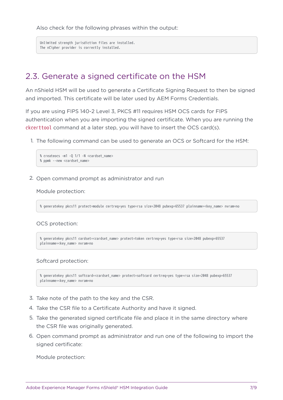Also check for the following phrases within the output:

Unlimited strength jurisdiction files are installed. The nCipher provider is correctly installed.

#### <span id="page-6-0"></span>2.3. Generate a signed certificate on the HSM

An nShield HSM will be used to generate a Certificate Signing Request to then be signed and imported. This certificate will be later used by AEM Forms Credentials.

If you are using FIPS 140-2 Level 3, PKCS #11 requires HSM OCS cards for FIPS authentication when you are importing the signed certificate. When you are running the ckcerttool command at a later step, you will have to insert the OCS card(s).

1. The following command can be used to generate an OCS or Softcard for the HSM:

```
% createocs -m1 -Q 1/1 -N <cardset_name>
% ppmk --new <cardset_name>
```
2. Open command prompt as administrator and run

#### Module protection:

% generatekey pkcs11 protect=module certreq=yes type=rsa size=2048 pubexp=65537 plainname=<key\_name> nvram=no

#### OCS protection:

```
% generatekey pkcs11 cardset=<cardset_name> protect=token certreq=yes type=rsa size=2048 pubexp=65537
plainname=<key_name> nvram=no
```
#### Softcard protection:

```
% generatekey pkcs11 softcard=<cardset_name> protect=softcard certreq=yes type=rsa size=2048 pubexp=65537
plainname=<key_name> nvram=no
```
- 3. Take note of the path to the key and the CSR.
- 4. Take the CSR file to a Certificate Authority and have it signed.
- 5. Take the generated signed certificate file and place it in the same directory where the CSR file was originally generated.
- 6. Open command prompt as administrator and run one of the following to import the signed certificate:

Module protection: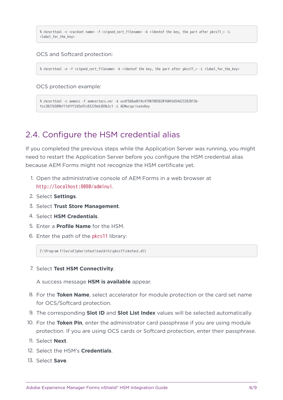% ckcerttool -c <cardset name> -f <signed\_cert\_filename> -k <identof the key, the part after pkcs11\_> -L <label\_for\_the\_key>

OCS and Softcard protection:

% ckcerttool -n -f <signed\_cert\_filename> -k <identof the key, the part after pkcs11\_> -L <label\_for\_the\_key>

OCS protection example:

```
% ckcerttool -c aemocs -f aemcertocs.cer -k ucdf5b8ad614c4790788582016043d54d23282013b-
fcc2027b509bf11dfff2d5e91c83229eb389b2c1 -L AEMocsprivateKey
```
#### <span id="page-7-0"></span>2.4. Configure the HSM credential alias

If you completed the previous steps while the Application Server was running, you might need to restart the Application Server before you configure the HSM credential alias because AEM Forms might not recognize the HSM certificate yet.

- 1. Open the administrative console of AEM Forms in a web browser at http://localhost:8080/adminui.
- 2. Select **Settings**.
- 3. Select **Trust Store Management**.
- 4. Select **HSM Credentials**.
- 5. Enter a **Profile Name** for the HSM.
- 6. Enter the path of the pkcs11 library:

C:\Program Files\nCipher\nfast\toolkits\pkcs11\cknfast.dll

7. Select **Test HSM Connectivity**.

A success message **HSM is available** appear.

- 8. For the **Token Name**, select accelerator for module protection or the card set name for OCS/Softcard protection.
- 9. The corresponding **Slot ID** and **Slot List Index** values will be selected automatically.
- 10. For the **Token Pin**, enter the administrator card passphrase if you are using module protection. If you are using OCS cards or Softcard protection, enter their passphrase.
- 11. Select **Next**.
- 12. Select the HSM's **Credentials**.
- 13. Select **Save**.